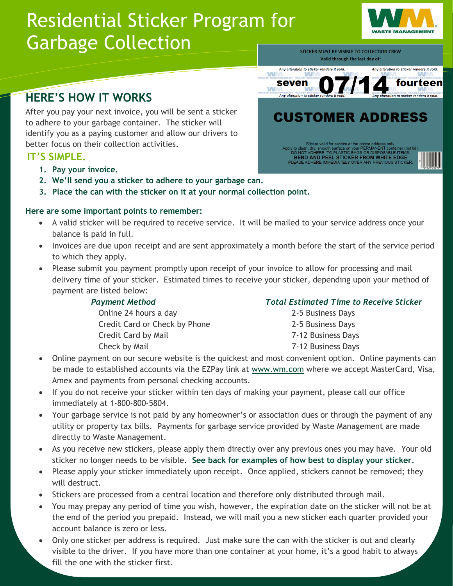# Residential Sticker Program for Garbage Collection



STICKER MUST BE VISIBLE TO COLLECTION CREW Valid through the last day of:

#### Any alteration to sticker renders it void Any alteration to sticker renders it void W seven fourteen W

# **HERE'S HOW IT WORKS**

After you pay your next invoice, you will be sent a sticker to adhere to your garbage container. The sticker will identify you as a paying customer and allow our drivers to better focus on their collection activities.

## **IT'S SIMPLE.**

- **1. Pay your invoice.**
- **2. We'll send you a sticker to adhere to your garbage can.**
- **3. Place the can with the sticker on it at your normal collection point.**

### l, **Here are some important points to remember:**

- A valid sticker will be required to receive service. It will be mailed to your service address once your balance is paid in full.
- Invoices are due upon receipt and are sent approximately a month before the start of the service period to which they apply.
- Please submit you payment promptly upon receipt of your invoice to allow for processing and mail delivery time of your sticker. Estimated times to receive your sticker, depending upon your method of payment are listed below:

**Online 24 hours a day Credit Card or Check by Phone** Credit Card by Mail Check by Mail

### *Payment Method Total Estimated Time to Receive Sticker*

| 2-5 Business Days  |
|--------------------|
| 2-5 Business Days  |
| 7-12 Business Days |
| 7-12 Business Days |

- Online payment on our secure website is the quickest and most convenient option. Online payments can be made to established accounts via the EZPay link at [www.wm.com](http://www.wm.com/) where we accept MasterCard, Visa, Amex and payments from personal checking accounts.
- If you do not receive your sticker within ten days of making your payment, please call our office immediately at 1-800-800-5804.
- Your garbage service is not paid by any homeowner's or association dues or through the payment of any utility or property tax bills. Payments for garbage service provided by Waste Management are made directly to Waste Management.
- As you receive new stickers, please apply them directly over any previous ones you may have. Your old sticker no longer needs to be visible. **See back for examples of how best to display your sticker.**
- Please apply your sticker immediately upon receipt. Once applied, stickers cannot be removed; they will destruct.
- Stickers are processed from a central location and therefore only distributed through mail.
- You may prepay any period of time you wish, however, the expiration date on the sticker will not be at the end of the period you prepaid. Instead, we will mail you a new sticker each quarter provided your account balance is zero or less.
- Only one sticker per address is required. Just make sure the can with the sticker is out and clearly visible to the driver. If you have more than one container at your home, it's a good habit to always fill the one with the sticker first.

**CUSTOMER ADDRESS** 

**BEND AND PEEL STICKER FROM WHITE EDGE**